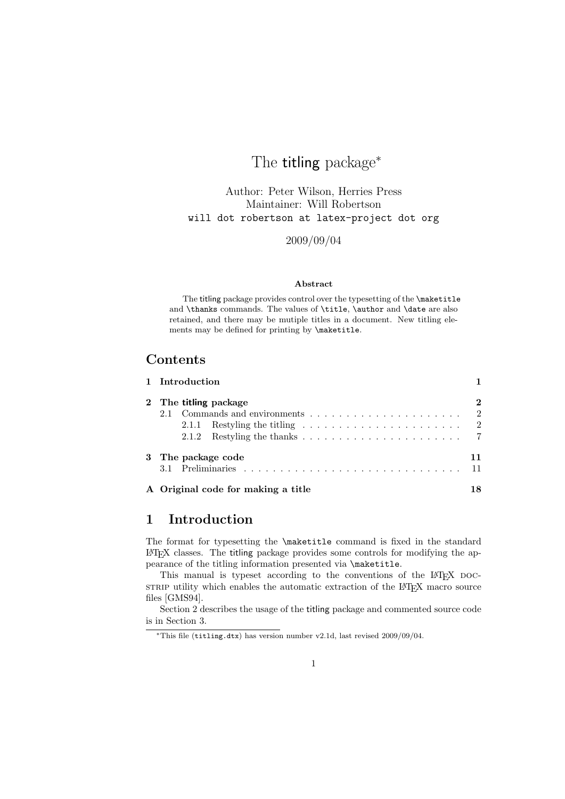# The **titling** package<sup>\*</sup>

Author: Peter Wilson, Herries Press Maintainer: Will Robertson will dot robertson at latex-project dot org

2009/09/04

#### Abstract

The titling package provides control over the typesetting of the **\maketitle** and \thanks commands. The values of \title, \author and \date are also retained, and there may be mutiple titles in a document. New titling elements may be defined for printing by \maketitle.

### Contents

| 1 Introduction                                                                   |          |
|----------------------------------------------------------------------------------|----------|
| 2 The titling package                                                            | $\bf{2}$ |
|                                                                                  | - 2      |
| 2.1.1 Restyling the titling $\ldots \ldots \ldots \ldots \ldots \ldots \ldots 2$ |          |
|                                                                                  |          |
| 3 The package code                                                               | 11       |
|                                                                                  |          |
| A Original code for making a title                                               | 18       |

### 1 Introduction

The format for typesetting the \maketitle command is fixed in the standard LATEX classes. The titling package provides some controls for modifying the appearance of the titling information presented via \maketitle.

This manual is typeset according to the conventions of the LATEX DOCstrate utility which enables the automatic extraction of the L<sup>A</sup>T<sub>E</sub>X macro source files [GMS94].

Section 2 describes the usage of the titling package and commented source code is in Section 3.

<sup>∗</sup>This file (titling.dtx) has version number v2.1d, last revised 2009/09/04.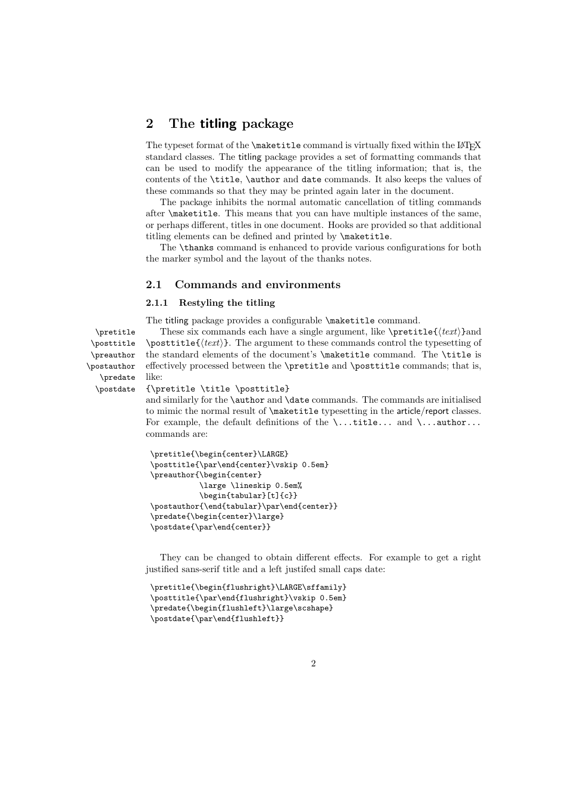### 2 The titling package

The typeset format of the **\maketitle** command is virtually fixed within the L<sup>AT</sup>FX standard classes. The titling package provides a set of formatting commands that can be used to modify the appearance of the titling information; that is, the contents of the **\title**, **\author** and date commands. It also keeps the values of these commands so that they may be printed again later in the document.

The package inhibits the normal automatic cancellation of titling commands after \maketitle. This means that you can have multiple instances of the same, or perhaps different, titles in one document. Hooks are provided so that additional titling elements can be defined and printed by \maketitle.

The \thanks command is enhanced to provide various configurations for both the marker symbol and the layout of the thanks notes.

#### 2.1 Commands and environments

#### 2.1.1 Restyling the titling

The titling package provides a configurable \maketitle command.

\posttitle \preauthor \postauthor \predate \postdate

 $\text{I}_\text{tree}$  These six commands each have a single argument, like  $\text{I}_\text{tree}$  $\text{test}$ . The argument to these commands control the typesetting of the standard elements of the document's \maketitle command. The \title is effectively processed between the \pretitle and \posttitle commands; that is, like:

#### {\pretitle \title \posttitle}

and similarly for the **\author** and **\date** commands. The commands are initialised to mimic the normal result of \maketitle typesetting in the article/report classes. For example, the default definitions of the  $\ldots$  title... and  $\ldots$  author... commands are:

```
\pretitle{\begin{center}\LARGE}
\posttitle{\par\end{center}\vskip 0.5em}
\preauthor{\begin{center}
           \large \lineskip 0.5em%
           \begin{tabular}[t]{c}}
\postauthor{\end{tabular}\par\end{center}}
\predate{\begin{center}\large}
\postdate{\par\end{center}}
```
They can be changed to obtain different effects. For example to get a right justified sans-serif title and a left justifed small caps date:

```
\pretitle{\begin{flushright}\LARGE\sffamily}
\posttitle{\par\end{flushright}\vskip 0.5em}
\predate{\begin{flushleft}\large\scshape}
\postdate{\par\end{flushleft}}
```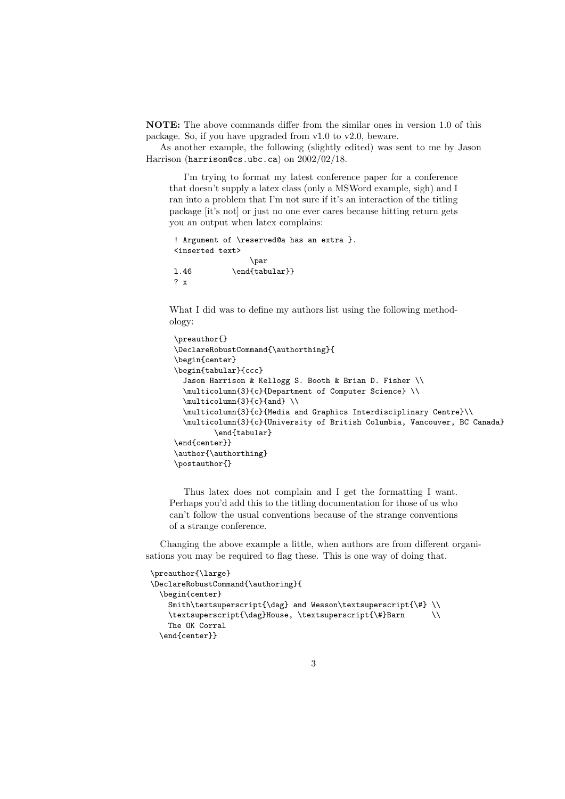NOTE: The above commands differ from the similar ones in version 1.0 of this package. So, if you have upgraded from v1.0 to v2.0, beware.

As another example, the following (slightly edited) was sent to me by Jason Harrison (harrison@cs.ubc.ca) on  $2002/02/18$ .

I'm trying to format my latest conference paper for a conference that doesn't supply a latex class (only a MSWord example, sigh) and I ran into a problem that I'm not sure if it's an interaction of the titling package [it's not] or just no one ever cares because hitting return gets you an output when latex complains:

```
! Argument of \reserved@a has an extra }.
<inserted text>
                \par
1.46 \end{tabular}}
? x
```
What I did was to define my authors list using the following methodology:

```
\preauthor{}
\DeclareRobustCommand{\authorthing}{
\begin{center}
\begin{tabular}{ccc}
  Jason Harrison & Kellogg S. Booth & Brian D. Fisher \\
  \multicolumn{3}{c}{Department of Computer Science} \\
  \multicolumn{3}{c}{and} \\
  \multicolumn{3}{c}{Media and Graphics Interdisciplinary Centre}\\
  \multicolumn{3}{c}{University of British Columbia, Vancouver, BC Canada}
         \end{tabular}
\end{center}}
\author{\authorthing}
\postauthor{}
```
Thus latex does not complain and I get the formatting I want. Perhaps you'd add this to the titling documentation for those of us who can't follow the usual conventions because of the strange conventions of a strange conference.

Changing the above example a little, when authors are from different organisations you may be required to flag these. This is one way of doing that.

```
\preauthor{\large}
\DeclareRobustCommand{\authoring}{
 \begin{center}
   Smith\textsuperscript{\dag} and Wesson\textsuperscript{\#} \\
   \textsuperscript{\dag}House, \textsuperscript{\#}Barn \\
   The OK Corral
 \end{center}}
```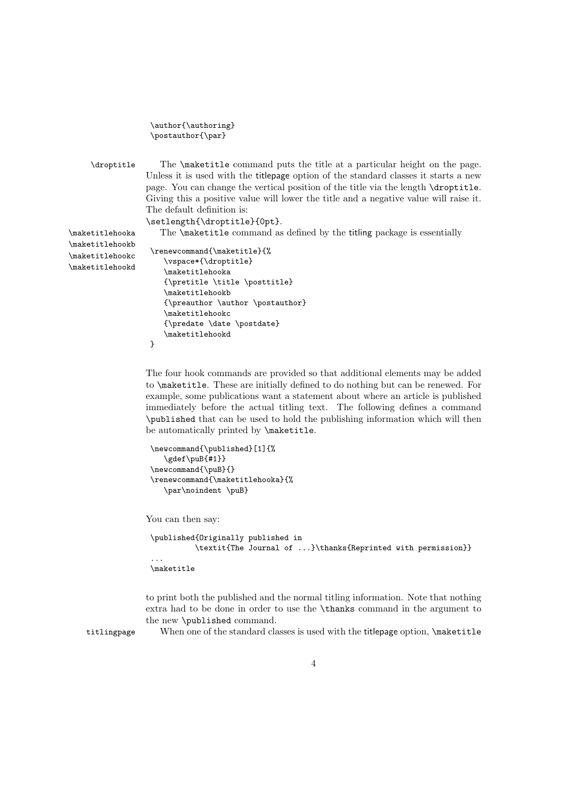| \author{\authoring} |  |
|---------------------|--|
| \postauthor{\par}   |  |

\droptitle The \maketitle command puts the title at a particular height on the page. Unless it is used with the titlepage option of the standard classes it starts a new page. You can change the vertical position of the title via the length \droptitle. Giving this a positive value will lower the title and a negative value will raise it. The default definition is:

\setlength{\droptitle}{0pt}.

\maketitlehooka The \maketitle command as defined by the titling package is essentially

\maketitlehookb \maketitlehookc \maketitlehookd

```
\renewcommand{\maketitle}{%
   \vspace*{\droptitle}
   \maketitlehooka
   {\pretitle \title \posttitle}
   \maketitlehookb
   {\preauthor \author \postauthor}
   \maketitlehookc
   {\predate \date \postdate}
   \maketitlehookd
}
```
The four hook commands are provided so that additional elements may be added to \maketitle. These are initially defined to do nothing but can be renewed. For example, some publications want a statement about where an article is published immediately before the actual titling text. The following defines a command \published that can be used to hold the publishing information which will then be automatically printed by \maketitle.

```
\newcommand{\published}[1]{%
  \gdef\puB{#1}}
\newcommand{\puB}{}
\renewcommand{\maketitlehooka}{%
  \par\noindent \puB}
```
You can then say:

```
\published{Originally published in
         \textit{The Journal of ...}\thanks{Reprinted with permission}}
...
\maketitle
```
to print both the published and the normal titling information. Note that nothing extra had to be done in order to use the \thanks command in the argument to the new \published command.

titlingpage When one of the standard classes is used with the titlepage option, \maketitle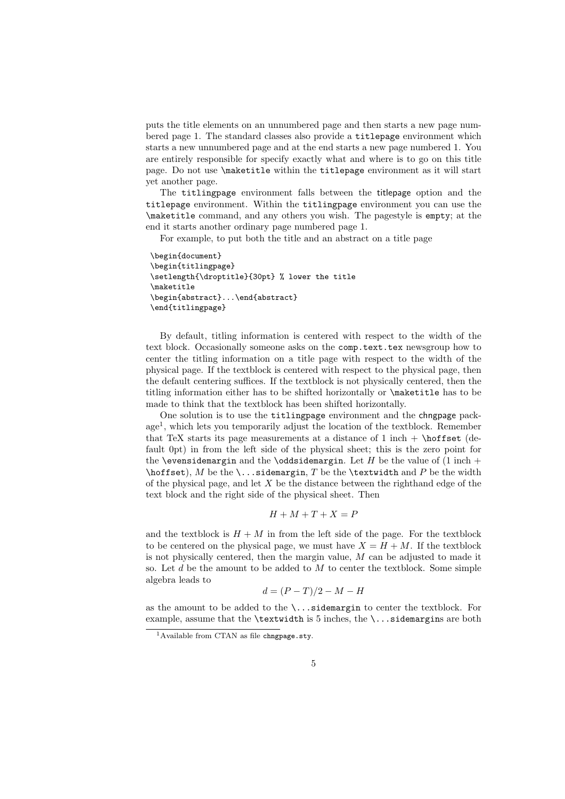puts the title elements on an unnumbered page and then starts a new page numbered page 1. The standard classes also provide a titlepage environment which starts a new unnumbered page and at the end starts a new page numbered 1. You are entirely responsible for specify exactly what and where is to go on this title page. Do not use \maketitle within the titlepage environment as it will start yet another page.

The titlingpage environment falls between the titlepage option and the titlepage environment. Within the titlingpage environment you can use the \maketitle command, and any others you wish. The pagestyle is empty; at the end it starts another ordinary page numbered page 1.

For example, to put both the title and an abstract on a title page

```
\begin{document}
\begin{titlingpage}
\setlength{\droptitle}{30pt} % lower the title
\maketitle
\begin{abstract}...\end{abstract}
\end{titlingpage}
```
By default, titling information is centered with respect to the width of the text block. Occasionally someone asks on the comp.text.tex newsgroup how to center the titling information on a title page with respect to the width of the physical page. If the textblock is centered with respect to the physical page, then the default centering suffices. If the textblock is not physically centered, then the titling information either has to be shifted horizontally or \maketitle has to be made to think that the textblock has been shifted horizontally.

One solution is to use the titlingpage environment and the chngpage package<sup>1</sup> , which lets you temporarily adjust the location of the textblock. Remember that TeX starts its page measurements at a distance of 1 inch  $+ \hbox{hoffset}$  (default 0pt) in from the left side of the physical sheet; this is the zero point for the \evensidemargin and the \oddsidemargin. Let  $H$  be the value of  $(1 \text{ inch} +$  $\hbar$ st), M be the  $\ldots$ sidemargin, T be the  $\text{width}$  and P be the width of the physical page, and let  $X$  be the distance between the righthand edge of the text block and the right side of the physical sheet. Then

$$
H + M + T + X = P
$$

and the textblock is  $H + M$  in from the left side of the page. For the textblock to be centered on the physical page, we must have  $X = H + M$ . If the textblock is not physically centered, then the margin value,  $M$  can be adjusted to made it so. Let  $d$  be the amount to be added to  $M$  to center the textblock. Some simple algebra leads to

$$
d = (P - T)/2 - M - H
$$

as the amount to be added to the  $\ldots$  sidemargin to center the textblock. For example, assume that the \textwidth is 5 inches, the \...sidemargins are both

<sup>&</sup>lt;sup>1</sup> Available from CTAN as file chngpage.sty.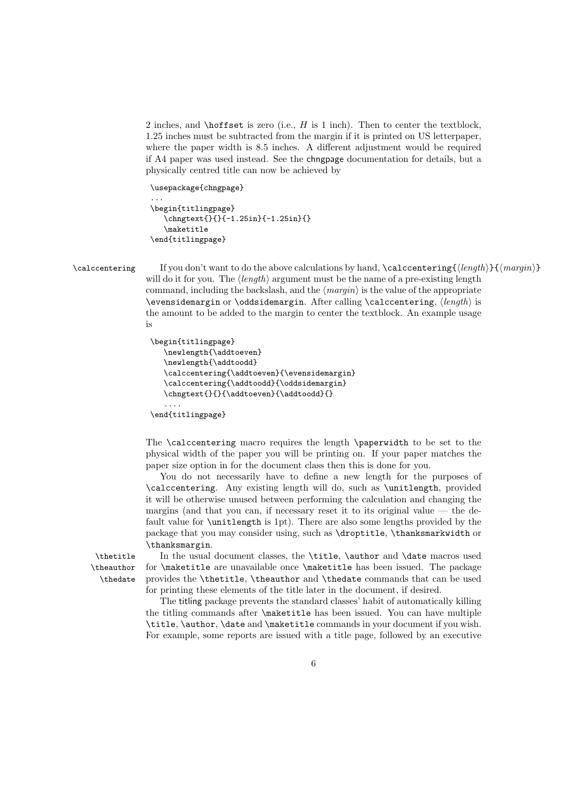2 inches, and \hoffset is zero (i.e.,  $H$  is 1 inch). Then to center the textblock, 1.25 inches must be subtracted from the margin if it is printed on US letterpaper, where the paper width is 8.5 inches. A different adjustment would be required if A4 paper was used instead. See the chngpage documentation for details, but a physically centred title can now be achieved by

```
\usepackage{chngpage}
```
...

```
\begin{titlingpage}
   \chngtext{}{}{-1.25in}{-1.25in}{}
   \maketitle
\end{titlingpage}
```
\calccentering If you don't want to do the above calculations by hand, \calccentering{ $\langle length\rangle$ }{ $\langle margin\rangle$ } will do it for you. The  $\langle length \rangle$  argument must be the name of a pre-existing length command, including the backslash, and the  $\langle margin \rangle$  is the value of the appropriate  $\overset{\text{def}}{\text{def}}$  \oddsidemargin. After calling \calccentering,  $\langle \text{length} \rangle$  is the amount to be added to the margin to center the textblock. An example usage is

```
\begin{titlingpage}
   \newlength{\addtoeven}
   \newlength{\addtoodd}
   \calccentering{\addtoeven}{\evensidemargin}
   \calccentering{\addtoodd}{\oddsidemargin}
   \chngtext{}{}{\addtoeven}{\addtoodd}{}
   ....
\end{titlingpage}
```
The \calccentering macro requires the length \paperwidth to be set to the physical width of the paper you will be printing on. If your paper matches the paper size option in for the document class then this is done for you.

You do not necessarily have to define a new length for the purposes of \calccentering. Any existing length will do, such as \unitlength, provided it will be otherwise unused between performing the calculation and changing the margins (and that you can, if necessary reset it to its original value  $-$  the default value for \unitlength is 1pt). There are also some lengths provided by the package that you may consider using, such as \droptitle, \thanksmarkwidth or \thanksmargin.

\theauthor \thedate

\thetitle In the usual document classes, the \title, \author and \date macros used for \maketitle are unavailable once \maketitle has been issued. The package provides the \thetitle, \theauthor and \thedate commands that can be used for printing these elements of the title later in the document, if desired.

> The titling package prevents the standard classes' habit of automatically killing the titling commands after \maketitle has been issued. You can have multiple \title, \author, \date and \maketitle commands in your document if you wish. For example, some reports are issued with a title page, followed by an executive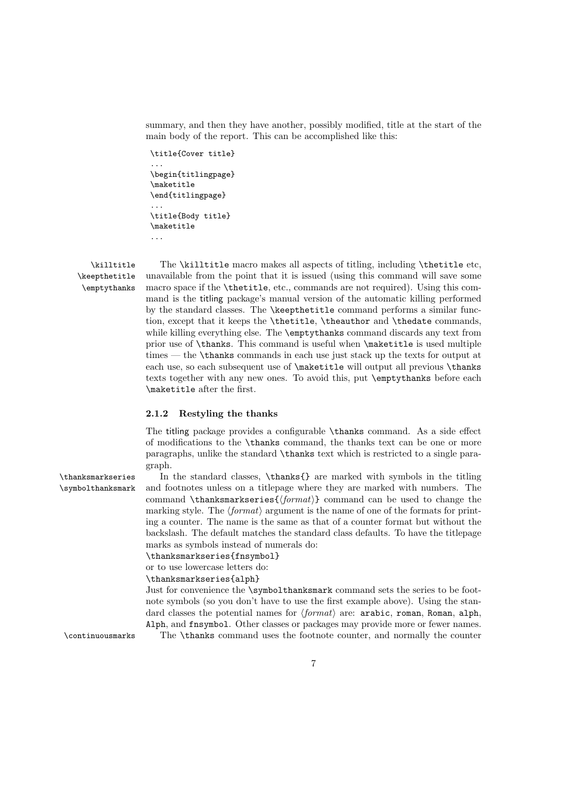summary, and then they have another, possibly modified, title at the start of the main body of the report. This can be accomplished like this:

```
\title{Cover title}
...
\begin{titlingpage}
\maketitle
\end{titlingpage}
...
\title{Body title}
\maketitle
...
```
\keepthetitle \emptythanks

\killtitle The \killtitle macro makes all aspects of titling, including \thetitle etc, unavailable from the point that it is issued (using this command will save some macro space if the \thetitle, etc., commands are not required). Using this command is the titling package's manual version of the automatic killing performed by the standard classes. The \keepthetitle command performs a similar function, except that it keeps the \thetitle, \theauthor and \thedate commands, while killing everything else. The \emptythanks command discards any text from prior use of \thanks. This command is useful when \maketitle is used multiple times — the \thanks commands in each use just stack up the texts for output at each use, so each subsequent use of \maketitle will output all previous \thanks texts together with any new ones. To avoid this, put \emptythanks before each \maketitle after the first.

#### 2.1.2 Restyling the thanks

The titling package provides a configurable \thanks command. As a side effect of modifications to the \thanks command, the thanks text can be one or more paragraphs, unlike the standard \thanks text which is restricted to a single paragraph.

\thanksmarkseries In the standard classes, \thanks{} are marked with symbols in the titling \symbolthanksmark and footnotes unless on a titlepage where they are marked with numbers. The command  $\theta$  command can be used to change the marking style. The  $\langle format \rangle$  argument is the name of one of the formats for printing a counter. The name is the same as that of a counter format but without the backslash. The default matches the standard class defaults. To have the titlepage marks as symbols instead of numerals do:

\thanksmarkseries{fnsymbol}

or to use lowercase letters do:

\thanksmarkseries{alph}

Just for convenience the \symbolthanksmark command sets the series to be footnote symbols (so you don't have to use the first example above). Using the standard classes the potential names for  $\langle format \rangle$  are: arabic, roman, Roman, alph, Alph, and fnsymbol. Other classes or packages may provide more or fewer names. \continuousmarks The \thanks command uses the footnote counter, and normally the counter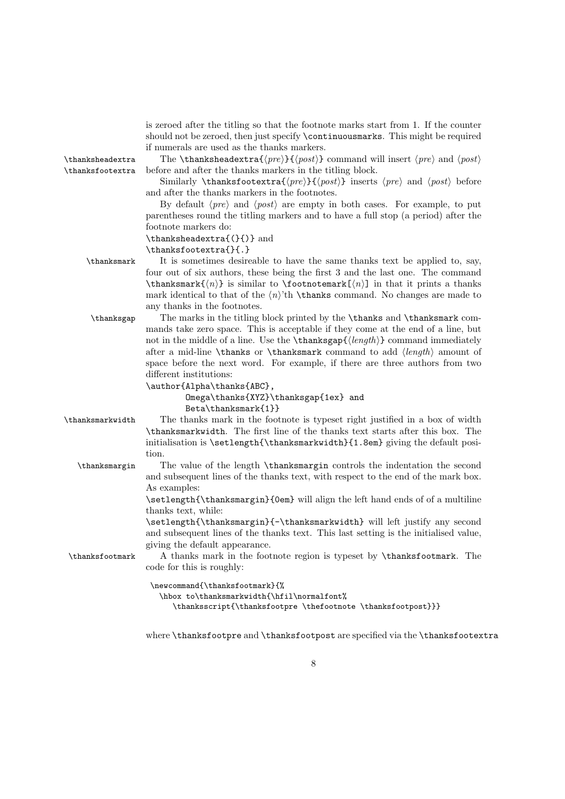| \thanksheadextra | is zeroed after the titling so that the footnote marks start from 1. If the counter<br>should not be zeroed, then just specify \continuousmarks. This might be required<br>if numerals are used as the thanks markers.<br>The \thanksheadextra{ $\langle pre \rangle$ }{ $\langle post \rangle$ } command will insert $\langle pre \rangle$ and $\langle post \rangle$ |
|------------------|------------------------------------------------------------------------------------------------------------------------------------------------------------------------------------------------------------------------------------------------------------------------------------------------------------------------------------------------------------------------|
| \thanksfootextra | before and after the thanks markers in the titling block.<br>Similarly \thanksfootextra{ $\langle pre \rangle$ }{ $\langle post \rangle$ } inserts $\langle pre \rangle$ and $\langle post \rangle$ before<br>and after the thanks markers in the footnotes.                                                                                                           |
|                  | By default $\langle pre \rangle$ and $\langle post \rangle$ are empty in both cases. For example, to put<br>parentheses round the titling markers and to have a full stop (a period) after the                                                                                                                                                                         |
|                  | footnote markers do:                                                                                                                                                                                                                                                                                                                                                   |
|                  | $\theta(\{\})$ and                                                                                                                                                                                                                                                                                                                                                     |
|                  | \thanksfootextra{}{.}                                                                                                                                                                                                                                                                                                                                                  |
| \thanksmark      | It is sometimes desireable to have the same thanks text be applied to, say,<br>four out of six authors, these being the first 3 and the last one. The command<br>$\theta(\eta)$ is similar to $\theta(\eta)$ in that it prints a thanks                                                                                                                                |
|                  | mark identical to that of the $\langle n \rangle$ 'th \thanks command. No changes are made to<br>any thanks in the footnotes.                                                                                                                                                                                                                                          |
| \thanksgap       | The marks in the titling block printed by the \thanks and \thanksmark com-                                                                                                                                                                                                                                                                                             |
|                  | mands take zero space. This is acceptable if they come at the end of a line, but                                                                                                                                                                                                                                                                                       |
|                  | not in the middle of a line. Use the $\theta(\{length\})$ command immediately                                                                                                                                                                                                                                                                                          |
|                  | after a mid-line \thanks or \thanksmark command to add $\langle length \rangle$ amount of                                                                                                                                                                                                                                                                              |
|                  | space before the next word. For example, if there are three authors from two                                                                                                                                                                                                                                                                                           |
|                  | different institutions:                                                                                                                                                                                                                                                                                                                                                |
|                  | \author{Alpha\thanks{ABC},                                                                                                                                                                                                                                                                                                                                             |
|                  | Omega\thanks{XYZ}\thanksgap{1ex} and                                                                                                                                                                                                                                                                                                                                   |
|                  | $Beta\thanksmark{1}$                                                                                                                                                                                                                                                                                                                                                   |
| \thanksmarkwidth | The thanks mark in the footnote is typeset right justified in a box of width                                                                                                                                                                                                                                                                                           |
|                  | \thanksmarkwidth. The first line of the thanks text starts after this box. The                                                                                                                                                                                                                                                                                         |
|                  | initialisation is \setlength{\thanksmarkwidth}{1.8em} giving the default posi-                                                                                                                                                                                                                                                                                         |
|                  | tion.                                                                                                                                                                                                                                                                                                                                                                  |
| \thanksmargin    | The value of the length <b>\thanksmargin</b> controls the indentation the second                                                                                                                                                                                                                                                                                       |
|                  | and subsequent lines of the thanks text, with respect to the end of the mark box.                                                                                                                                                                                                                                                                                      |
|                  | As examples:                                                                                                                                                                                                                                                                                                                                                           |
|                  | \setlength{\thanksmargin}{0em} will align the left hand ends of of a multiline                                                                                                                                                                                                                                                                                         |
|                  | thanks text, while:                                                                                                                                                                                                                                                                                                                                                    |
|                  | \setlength{\thanksmargin}{-\thanksmarkwidth} will left justify any second                                                                                                                                                                                                                                                                                              |
|                  | and subsequent lines of the thanks text. This last setting is the initialised value,                                                                                                                                                                                                                                                                                   |
|                  | giving the default appearance.                                                                                                                                                                                                                                                                                                                                         |
| \thanksfootmark  | A thanks mark in the footnote region is typeset by \thanksfootmark. The<br>code for this is roughly:                                                                                                                                                                                                                                                                   |
|                  | \newcommand{\thanksfootmark}{%                                                                                                                                                                                                                                                                                                                                         |
|                  | \hbox to\thanksmarkwidth{\hfil\normalfont%                                                                                                                                                                                                                                                                                                                             |
|                  | \thanksscript{\thanksfootpre \thefootnote \thanksfootpost}}}                                                                                                                                                                                                                                                                                                           |

where **\thanksfootpre** and **\thanksfootpost** are specified via the **\thanksfootextra**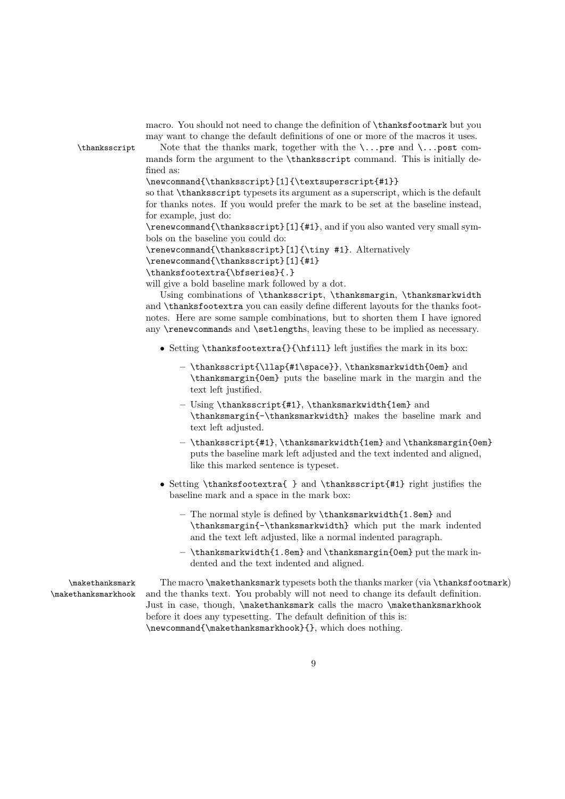| \thanksscript                          | macro. You should not need to change the definition of <b>\thanksfootmark</b> but you<br>may want to change the default definitions of one or more of the macros it uses.<br>Note that the thanks mark, together with the $\ldots$ pre and $\ldots$ post com-<br>mands form the argument to the \thanksscript command. This is initially de-                                                                                                                                                                                                                                                                                                                                                                                                                                                                                                                                                                      |
|----------------------------------------|-------------------------------------------------------------------------------------------------------------------------------------------------------------------------------------------------------------------------------------------------------------------------------------------------------------------------------------------------------------------------------------------------------------------------------------------------------------------------------------------------------------------------------------------------------------------------------------------------------------------------------------------------------------------------------------------------------------------------------------------------------------------------------------------------------------------------------------------------------------------------------------------------------------------|
|                                        | fined as:<br>\newcommand{\thanksscript}[1]{\textsuperscript{#1}}<br>so that \thanksscript typesets its argument as a superscript, which is the default<br>for thanks notes. If you would prefer the mark to be set at the baseline instead,<br>for example, just do:<br>\renewcommand{\thanksscript}[1]{#1}, and if you also wanted very small sym-<br>bols on the baseline you could do:<br>\renewcommand{\thanksscript}[1]{\tiny #1}. Alternatively<br>\renewcommand{\thanksscript}[1]{#1}<br>\thanksfootextra{\bfseries}{.}<br>will give a bold baseline mark followed by a dot.<br>Using combinations of \thanksscript, \thanksmargin, \thanksmarkwidth<br>and \thanksfootextra you can easily define different layouts for the thanks foot-<br>notes. Here are some sample combinations, but to shorten them I have ignored<br>any \renewcommands and \setlengths, leaving these to be implied as necessary. |
|                                        | • Setting \thanksfootextra{}{\hfill} left justifies the mark in its box:                                                                                                                                                                                                                                                                                                                                                                                                                                                                                                                                                                                                                                                                                                                                                                                                                                          |
|                                        | - \thanksscript{\llap{#1\space}}, \thanksmarkwidth{0em} and<br>\thanksmargin{0em} puts the baseline mark in the margin and the<br>text left justified.                                                                                                                                                                                                                                                                                                                                                                                                                                                                                                                                                                                                                                                                                                                                                            |
|                                        | - Using \thanksscript{#1}, \thanksmarkwidth{1em} and<br>\thanksmargin{-\thanksmarkwidth} makes the baseline mark and<br>text left adjusted.                                                                                                                                                                                                                                                                                                                                                                                                                                                                                                                                                                                                                                                                                                                                                                       |
|                                        | - \thanksscript{#1}, \thanksmarkwidth{1em} and \thanksmargin{0em}<br>puts the baseline mark left adjusted and the text indented and aligned,<br>like this marked sentence is typeset.                                                                                                                                                                                                                                                                                                                                                                                                                                                                                                                                                                                                                                                                                                                             |
|                                        | • Setting \thanksfootextra{ } and \thanksscript{#1} right justifies the<br>baseline mark and a space in the mark box:                                                                                                                                                                                                                                                                                                                                                                                                                                                                                                                                                                                                                                                                                                                                                                                             |
|                                        | - The normal style is defined by \thanksmarkwidth{1.8em} and<br>\thanksmargin{-\thanksmarkwidth} which put the mark indented<br>and the text left adjusted, like a normal indented paragraph.                                                                                                                                                                                                                                                                                                                                                                                                                                                                                                                                                                                                                                                                                                                     |
|                                        | - \thanksmarkwidth{1.8em} and \thanksmargin{0em} put the mark in-<br>dented and the text indented and aligned.                                                                                                                                                                                                                                                                                                                                                                                                                                                                                                                                                                                                                                                                                                                                                                                                    |
| \makethanksmark<br>\makethanksmarkhook | The macro \makethanksmark typesets both the thanks marker (via \thanksfootmark)<br>and the thanks text. You probably will not need to change its default definition.<br>Just in case, though, \makethanksmark calls the macro \makethanksmarkhook<br>before it does any typesetting. The default definition of this is:<br>\newcommand{\makethanksmarkhook}{}, which does nothing.                                                                                                                                                                                                                                                                                                                                                                                                                                                                                                                                |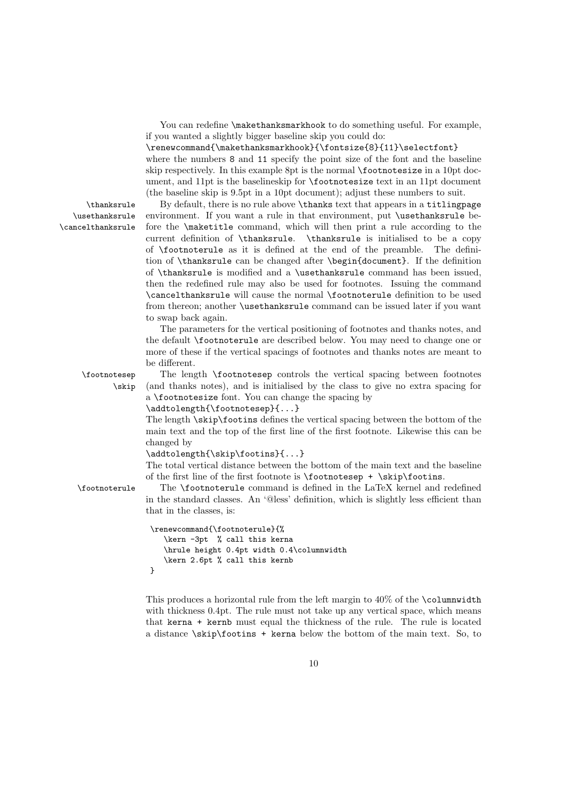You can redefine **\makethanksmarkhook** to do something useful. For example, if you wanted a slightly bigger baseline skip you could do:

\renewcommand{\makethanksmarkhook}{\fontsize{8}{11}\selectfont} where the numbers 8 and 11 specify the point size of the font and the baseline skip respectively. In this example 8pt is the normal \footnotesize in a 10pt document, and 11pt is the baselineskip for \footnotesize text in an 11pt document (the baseline skip is 9.5pt in a 10pt document); adjust these numbers to suit.

\thanksrule By default, there is no rule above \thanks text that appears in a titlingpage environment. If you want a rule in that environment, put \usethanksrule before the \maketitle command, which will then print a rule according to the current definition of \thanksrule. \thanksrule is initialised to be a copy of \footnoterule as it is defined at the end of the preamble. The definition of \thanksrule can be changed after \begin{document}. If the definition of \thanksrule is modified and a \usethanksrule command has been issued, then the redefined rule may also be used for footnotes. Issuing the command \cancelthanksrule will cause the normal \footnoterule definition to be used from thereon; another \usethanksrule command can be issued later if you want to swap back again.

> The parameters for the vertical positioning of footnotes and thanks notes, and the default \footnoterule are described below. You may need to change one or more of these if the vertical spacings of footnotes and thanks notes are meant to be different.

\footnotesep The length \footnotesep controls the vertical spacing between footnotes \skip (and thanks notes), and is initialised by the class to give no extra spacing for a \footnotesize font. You can change the spacing by

\addtolength{\footnotesep}{...}

The length \skip\footins defines the vertical spacing between the bottom of the main text and the top of the first line of the first footnote. Likewise this can be changed by

\addtolength{\skip\footins}{...}

The total vertical distance between the bottom of the main text and the baseline of the first line of the first footnote is  $\footnotesize{\text{footnoteser}}$  +  $\scriptstyle{\text{skip}}$  \skip\footins.

\footnoterule The \footnoterule command is defined in the LaTeX kernel and redefined in the standard classes. An '@less' definition, which is slightly less efficient than that in the classes, is:

```
\renewcommand{\footnoterule}{%
   \kern -3pt % call this kerna
   \hrule height 0.4pt width 0.4\columnwidth
   \kern 2.6pt % call this kernb
}
```
This produces a horizontal rule from the left margin to  $40\%$  of the **\columnwidth** with thickness 0.4pt. The rule must not take up any vertical space, which means that kerna + kernb must equal the thickness of the rule. The rule is located a distance  $\frac{\sin\theta + \sin\theta}{\cos\theta}$  is kerna below the bottom of the main text. So, to

\usethanksrule \cancelthanksrule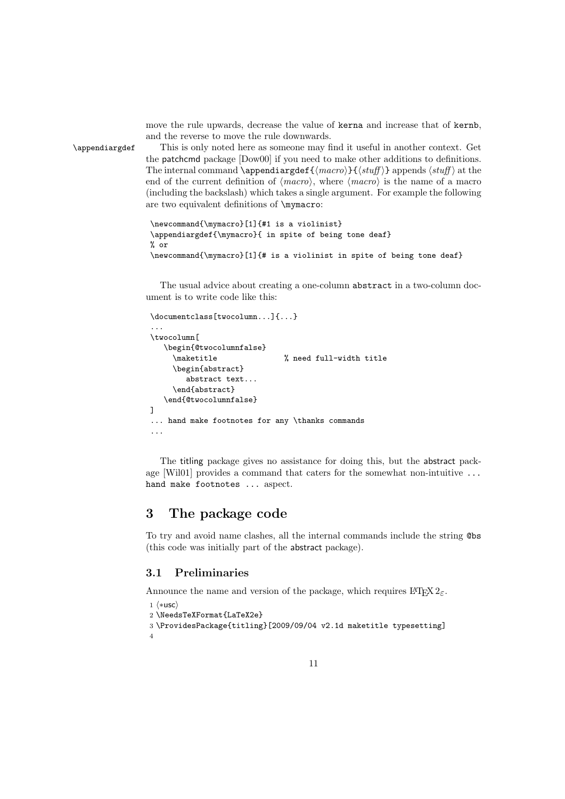move the rule upwards, decrease the value of kerna and increase that of kernb, and the reverse to move the rule downwards.

\appendiargdef This is only noted here as someone may find it useful in another context. Get the patchcmd package [Dow00] if you need to make other additions to definitions. The internal command \appendiargdef{ $\{$ macro}}{ $\{$ stuff}} appends  $\{$ stuff} at the end of the current definition of  $\langle macro\rangle$ , where  $\langle macro\rangle$  is the name of a macro (including the backslash) which takes a single argument. For example the following are two equivalent definitions of \mymacro:

```
\newcommand{\mymacro}[1]{#1 is a violinist}
\appendiargdef{\mymacro}{ in spite of being tone deaf}
% or
\newcommand{\mymacro}[1]{# is a violinist in spite of being tone deaf}
```
The usual advice about creating a one-column abstract in a two-column document is to write code like this:

```
\documentclass[twocolumn...]{...}
...
\twocolumn[
   \begin{@twocolumnfalse}
     \maketitle % need full-width title
     \begin{abstract}
        abstract text...
     \end{abstract}
   \end{@twocolumnfalse}
\overline{1}... hand make footnotes for any \thanks commands
...
```
The titling package gives no assistance for doing this, but the abstract package [Wil01] provides a command that caters for the somewhat non-intuitive ... hand make footnotes ... aspect.

### 3 The package code

To try and avoid name clashes, all the internal commands include the string @bs (this code was initially part of the abstract package).

#### 3.1 Preliminaries

Announce the name and version of the package, which requires  $\mathbb{L}\mathrm{Tr} X 2_{\varepsilon}$ .

```
1 \langle *usc \rangle2 \NeedsTeXFormat{LaTeX2e}
3 \ProvidesPackage{titling}[2009/09/04 v2.1d maketitle typesetting]
4
```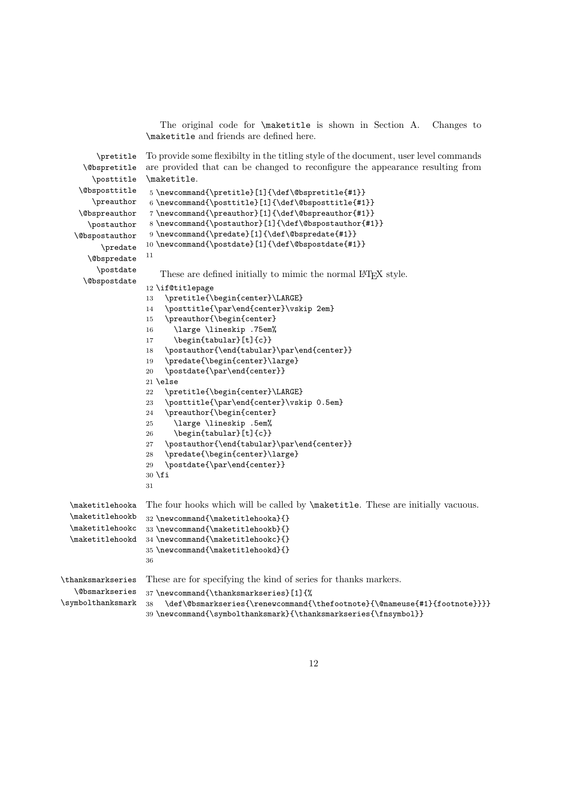The original code for \maketitle is shown in Section A. Changes to \maketitle and friends are defined here.

```
\pretitle
     \@bspretitle
       \posttitle
    \@bsposttitle
       \preauthor
    \@bspreauthor
      \postauthor
   \@bspostauthor
         \predate
      \@bspredate
        \postdate
     \@bspostdate
                   To provide some flexibilty in the titling style of the document, user level commands
                   are provided that can be changed to reconfigure the appearance resulting from
                   \maketitle.
                    5 \newcommand{\pretitle}[1]{\def\@bspretitle{#1}}
                    6 \newcommand{\posttitle}[1]{\def\@bsposttitle{#1}}
                    7 \newcommand{\preauthor}[1]{\def\@bspreauthor{#1}}
                    8 \newcommand{\postauthor}[1]{\def\@bspostauthor{#1}}
                    9 \newcommand{\predate}[1]{\def\@bspredate{#1}}
                   10 \newcommand{\postdate}[1]{\def\@bspostdate{#1}}
                   11
                      These are defined initially to mimic the normal LATEX style.
                   12 \if@titlepage
                   13 \pretitle{\begin{center}\LARGE}
                   14 \posttitle{\par\end{center}\vskip 2em}
                   15 \preauthor{\begin{center}
                   16 \large \lineskip .75em%
                   17 \begin{tabular}[t]{c}}
                   18 \postauthor{\end{tabular}\par\end{center}}
                   19 \predate{\begin{center}\large}
                   20 \postdate{\par\end{center}}
                   21 \lambdaelse
                   22 \pretitle{\begin{center}\LARGE}
                   23 \posttitle{\par\end{center}\vskip 0.5em}
                   24 \preauthor{\begin{center}
                   25 \large \lineskip .5em%
                   26 \begin{tabular}[t]{c}}
                   27 \postauthor{\end{tabular}\par\end{center}}
                   28 \predate{\begin{center}\large}
                   29 \postdate{\par\end{center}}
                   30 \text{ } \text{ } 1531
  \maketitlehooka
The four hooks which will be called by \maketitle. These are initially vacuous.
  \maketitlehookb
  \maketitlehookc
33 \newcommand{\maketitlehookb}{}
  \maketitlehookd
34 \newcommand{\maketitlehookc}{}
                   32 \newcommand{\maketitlehooka}{}
                   35 \newcommand{\maketitlehookd}{}
                   36
\thanksmarkseries
These are for specifying the kind of series for thanks markers.
   \@bsmarkseries
\symbolthanksmark
                   37 \newcommand{\thanksmarkseries}[1]{%
                   38 \def\@bsmarkseries{\renewcommand{\thefootnote}{\@nameuse{#1}{footnote}}}}
                   39 \newcommand{\symbolthanksmark}{\thanksmarkseries{\fnsymbol}}
```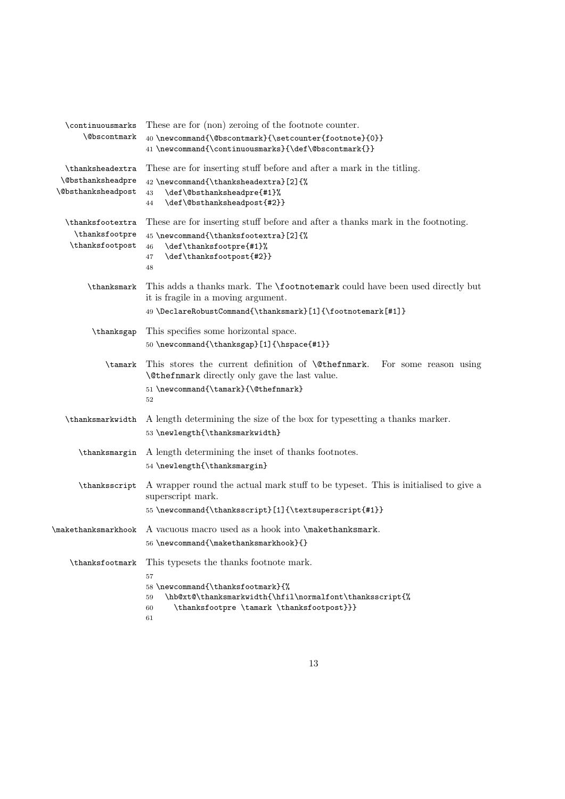| \continuousmarks<br><b>\@bscontmark</b>                                          | These are for (non) zeroing of the footnote counter.<br>40 \newcommand{\@bscontmark}{\setcounter{footnote}{0}}<br>41 \newcommand{\continuousmarks}{\def\@bscontmark{}}                                       |
|----------------------------------------------------------------------------------|--------------------------------------------------------------------------------------------------------------------------------------------------------------------------------------------------------------|
| \thanksheadextra<br><i><b>\@bsthanksheadpre</b></i><br><b>\@bsthanksheadpost</b> | These are for inserting stuff before and after a mark in the titling.<br>42 \newcommand{\thanksheadextra}[2]{%<br>\def\@bsthanksheadpre{#1}%<br>43<br>\def\@bsthanksheadpost{#2}}<br>44                      |
| \thanksfootextra<br>\thanksfootpre<br>\thanksfootpost                            | These are for inserting stuff before and after a thanks mark in the footnoting.<br>45 \newcommand{\thanksfootextra}[2]{%<br>\def\thanksfootpre{#1}%<br>46<br>\def\thanksfootpost{#2}}<br>47<br>48            |
| \thanksmark                                                                      | This adds a thanks mark. The <b>\footnotemark</b> could have been used directly but<br>it is fragile in a moving argument.<br>49 \DeclareRobustCommand{\thanksmark}[1]{\footnotemark[#1]}                    |
| \thanksgap                                                                       | This specifies some horizontal space.<br>50 \newcommand{\thanksgap}[1]{\hspace{#1}}                                                                                                                          |
| \tamark                                                                          | This stores the current definition of <b>\@thefnmark.</b><br>For some reason using<br><b>\@thefnmark</b> directly only gave the last value.<br>51 \newcommand{\tamark}{\@thefnmark}<br>52                    |
| \thanksmarkwidth                                                                 | A length determining the size of the box for typesetting a thanks marker.<br>53 \newlength{\thanksmarkwidth}                                                                                                 |
| \thanksmargin                                                                    | A length determining the inset of thanks footnotes.<br>54 \newlength{\thanksmargin}                                                                                                                          |
| \thanksscript                                                                    | A wrapper round the actual mark stuff to be typeset. This is initialised to give a<br>superscript mark.<br>55\newcommand{\thanksscript}[1]{\textsuperscript{#1}}                                             |
| \makethanksmarkhook                                                              | A vacuous macro used as a hook into \makethanksmark.<br>56 \newcommand{\makethanksmarkhook}{}                                                                                                                |
| \thanksfootmark                                                                  | This typesets the thanks footnote mark.<br>57<br>58 \newcommand{\thanksfootmark}{%<br>\hb@xt@\thanksmarkwidth{\hfil\normalfont\thanksscript{%<br>59<br>\thanksfootpre \tamark \thanksfootpost}}}<br>60<br>61 |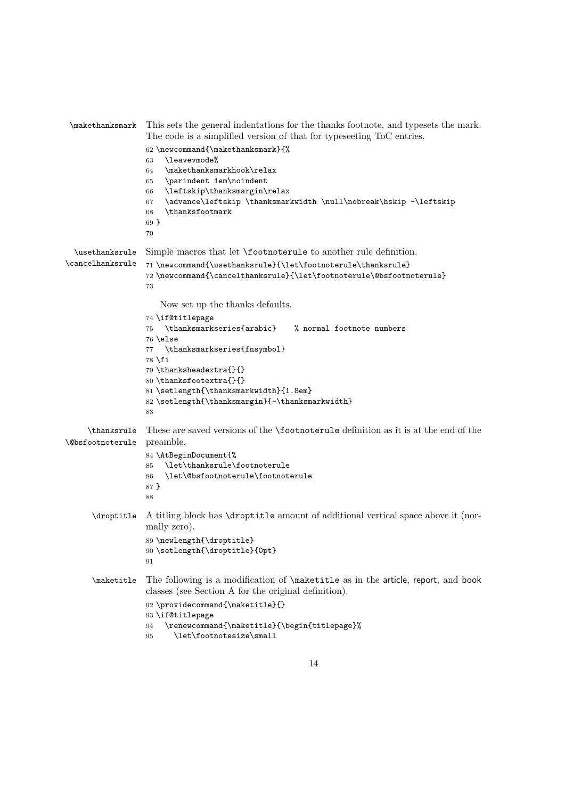| \makethanksmark                               | This sets the general indentations for the thanks footnote, and typesets the mark.<br>The code is a simplified version of that for typeseeting ToC entries.                                                                                                                            |  |  |
|-----------------------------------------------|----------------------------------------------------------------------------------------------------------------------------------------------------------------------------------------------------------------------------------------------------------------------------------------|--|--|
|                                               | 62 \newcommand{\makethanksmark}{%<br>\leavevmode%<br>63<br>\makethanksmarkhook\relax<br>64<br>\parindent 1em\noindent<br>65<br>\leftskip\thanksmargin\relax<br>66<br>\advance\leftskip \thanksmarkwidth \null\nobreak\hskip -\leftskip<br>67<br>\thanksfootmark<br>68<br>$69 \}$<br>70 |  |  |
| \usethanksrule                                | Simple macros that let <b>\footnoterule</b> to another rule definition.                                                                                                                                                                                                                |  |  |
| \cancelhanksrule                              | 71 \newcommand{\usethanksrule}{\let\footnoterule\thanksrule}<br>72 \newcommand{\cancelthanksrule}{\let\footnoterule\@bsfootnoterule}<br>73                                                                                                                                             |  |  |
|                                               | Now set up the thanks defaults.                                                                                                                                                                                                                                                        |  |  |
|                                               | 74 \if@titlepage<br>$\verb \thanksmarkseries{arabic} $<br>% normal footnote numbers<br>75<br>$76$ \else<br>\thanksmarkseries{fnsymbol}<br>77                                                                                                                                           |  |  |
|                                               | 78 \fi<br>79 \thanksheadextra{}{}                                                                                                                                                                                                                                                      |  |  |
|                                               | 80 \thanksfootextra{}{}<br>81 \setlength{\thanksmarkwidth}{1.8em}<br>82 \setlength{\thanksmargin}{-\thanksmarkwidth}                                                                                                                                                                   |  |  |
|                                               | 83                                                                                                                                                                                                                                                                                     |  |  |
| \thanksrule<br><i><b>\@bsfootnoterule</b></i> | These are saved versions of the <b>\footnoterule</b> definition as it is at the end of the<br>preamble.                                                                                                                                                                                |  |  |
|                                               | 84 \AtBeginDocument{%<br>\let\thanksrule\footnoterule<br>85                                                                                                                                                                                                                            |  |  |
|                                               | \let\@bsfootnoterule\footnoterule<br>86<br>87 }<br>88                                                                                                                                                                                                                                  |  |  |
| \droptitle                                    | A titling block has <b>\droptitle</b> amount of additional vertical space above it (nor-<br>mally zero).                                                                                                                                                                               |  |  |
|                                               | 89 \newlength{\droptitle}<br>90 \setlength{\droptitle}{0pt}<br>91                                                                                                                                                                                                                      |  |  |
| \maketitle                                    | The following is a modification of \maketitle as in the article, report, and book<br>classes (see Section A for the original definition).                                                                                                                                              |  |  |
|                                               | 92 \providecommand{\maketitle}{}<br>93 \if@titlepage<br>\renewcommand{\maketitle}{\begin{titlepage}%<br>94                                                                                                                                                                             |  |  |
|                                               | \let\footnotesize\small<br>95                                                                                                                                                                                                                                                          |  |  |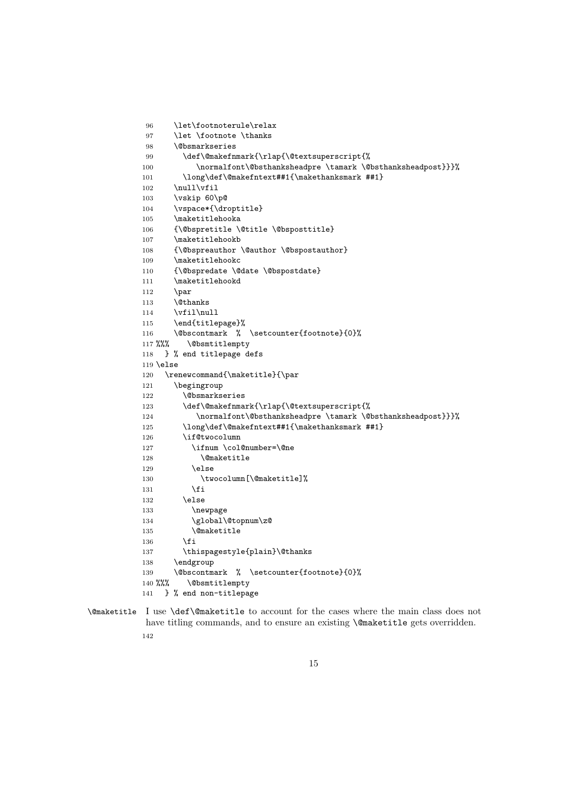```
96 \let\footnoterule\relax
97 \let \footnote \thanks
98 \@bsmarkseries
99 \def\@makefnmark{\rlap{\@textsuperscript{%
100 \normalfont\@bsthanksheadpre \tamark \@bsthanksheadpost}}}%
101 \long\def\@makefntext##1{\makethanksmark ##1}
102 \null\vfil
103 \vskip 60\p@
104 \vspace*{\droptitle}
105 \maketitlehooka
106 {\@bspretitle \@title \@bsposttitle}
107 \maketitlehookb
108 {\@bspreauthor \@author \@bspostauthor}
109 \maketitlehookc
110 {\@bspredate \@date \@bspostdate}
111 \maketitlehookd
112 \par
113 \@thanks
114 \vfil\null
115 \end{titlepage}%
116 \@bscontmark % \setcounter{footnote}{0}%
117 %%% \@bsmtitlempty
118 } % end titlepage defs
119 \else
120 \renewcommand{\maketitle}{\par
121 \begingroup
122 \@bsmarkseries
123 \def\@makefnmark{\rlap{\@textsuperscript{%
124 \normalfont\@bsthanksheadpre \tamark \@bsthanksheadpost}}}%
125 \long\def\@makefntext##1{\makethanksmark ##1}
126 \if@twocolumn
127 \ifnum \col@number=\@ne
128 \@maketitle
129 \else
130 \twocolumn[\@maketitle]%
131 \overrightarrow{fi}132 \else
133 \newpage
134 \global\@topnum\z@
135 \@maketitle
136 \fi
137 \thispagestyle{plain}\@thanks
138 \endgroup
139 \@bscontmark % \setcounter{footnote}{0}%
140 %%% \@bsmtitlempty
141 } % end non-titlepage
```
\@maketitle I use \def\@maketitle to account for the cases where the main class does not have titling commands, and to ensure an existing **\@maketitle** gets overridden. 142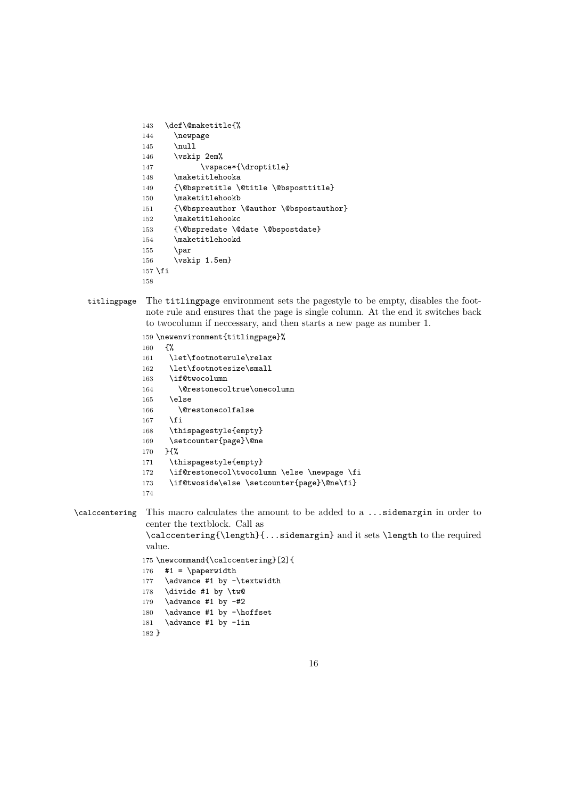```
143 \def\@maketitle{%
144 \newpage
145 \null
146 \vskip 2em%
147 \vspace*{\droptitle}
148 \maketitlehooka
149 {\@bspretitle \@title \@bsposttitle}
150 \maketitlehookb
151 {\@bspreauthor \@author \@bspostauthor}
152 \maketitlehookc
153 {\@bspredate \@date \@bspostdate}
154 \maketitlehookd
155 \par
156 \vskip 1.5em}
157 \fi
158
```
titlingpage The titlingpage environment sets the pagestyle to be empty, disables the footnote rule and ensures that the page is single column. At the end it switches back to twocolumn if neccessary, and then starts a new page as number 1.

```
159 \newenvironment{titlingpage}%
```

```
160 {%
161 \let\footnoterule\relax
162 \let\footnotesize\small
163 \if@twocolumn
164 \@restonecoltrue\onecolumn
165 \else
166 \@restonecolfalse
167 \fi
168 \thispagestyle{empty}
169 \setcounter{page}\@ne
170 }{%
171 \thispagestyle{empty}
172 \if@restonecol\twocolumn \else \newpage \fi
173 \if@twoside\else \setcounter{page}\@ne\fi}
174
```
\calccentering This macro calculates the amount to be added to a ...sidemargin in order to center the textblock. Call as

\calccentering{\length}{...sidemargin} and it sets \length to the required value.

\newcommand{\calccentering}[2]{

```
176 #1 = \n\perp \text{supp}177 \advance #1 by -\textwidth
```
- \divide #1 by \tw@
- 179 \advance #1 by  $-\#2$

```
180 \advance #1 by -\hoffset
```
181 \advance #1 by -1in

```
182 }
```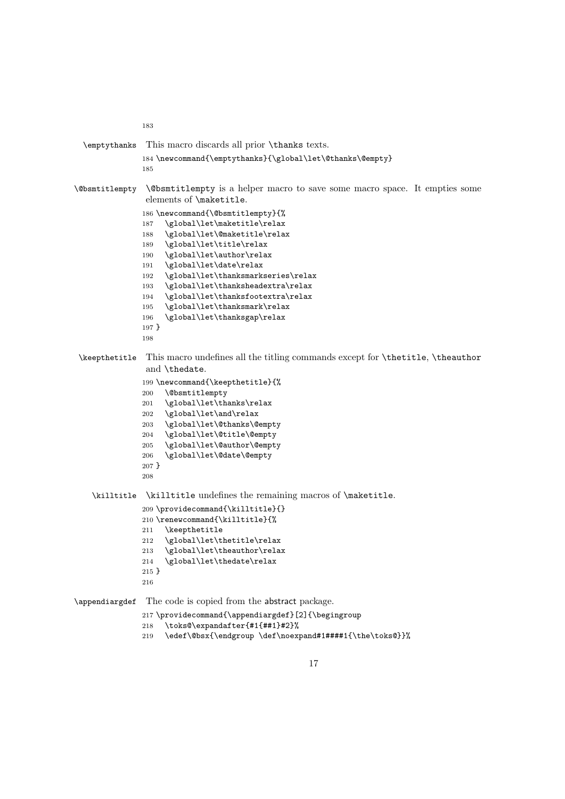```
183
  \emptythanks This macro discards all prior \thanks texts.
               184 \newcommand{\emptythanks}{\global\let\@thanks\@empty}
               185
\@bsmtitlempty \@bsmtitlempty is a helper macro to save some macro space. It empties some
                elements of \maketitle.
               186 \newcommand{\@bsmtitlempty}{%
               187 \global\let\maketitle\relax
               188 \global\let\@maketitle\relax
               189 \global\let\title\relax
               190 \global\let\author\relax
               191 \global\let\date\relax
               192 \global\let\thanksmarkseries\relax
               193 \global\let\thanksheadextra\relax
               194 \global\let\thanksfootextra\relax
               195 \global\let\thanksmark\relax
               196 \global\let\thanksgap\relax
               197 }
               198
 \keepthetitle This macro undefines all the titling commands except for \thetitle, \theauthor
                and \thedate.
               199 \newcommand{\keepthetitle}{%
               200 \@bsmtitlempty
               201 \global\let\thanks\relax
               202 \global\let\and\relax
               203 \global\let\@thanks\@empty
               204 \global\let\@title\@empty
               205 \global\let\@author\@empty
               206 \global\let\@date\@empty
               207 }
               208
    \killtitle \killtitle undefines the remaining macros of \maketitle.
               209 \providecommand{\killtitle}{}
               210 \renewcommand{\killtitle}{%
               211 \keepthetitle
               212 \global\let\thetitle\relax
               213 \global\let\theauthor\relax
               214 \global\let\thedate\relax
               215 }
               216
\appendiargdef The code is copied from the abstract package.
               217 \providecommand{\appendiargdef}[2]{\begingroup
               218 \toks@\expandafter{#1{##1}#2}%
               219 \edef\@bsx{\endgroup \def\noexpand#1####1{\the\toks@}}%
```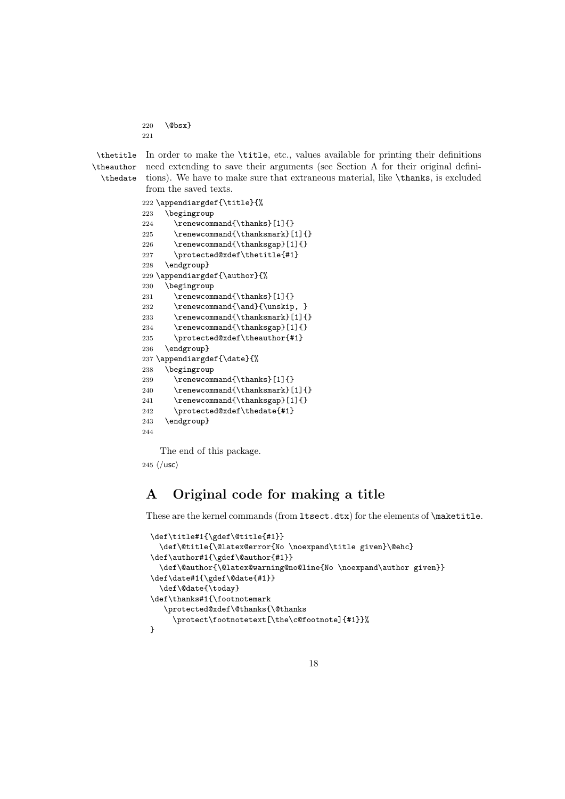220 \@bsx}

221

\theauthor

\thetitle In order to make the \title, etc., values available for printing their definitions \thedate tions). We have to make sure that extraneous material, like \thanks, is excluded need extending to save their arguments (see Section A for their original definifrom the saved texts.

```
222 \appendiargdef{\title}{%
223 \begingroup
224 \renewcommand{\thanks}[1]{}
225 \rm{normal}{{\thanksmark}}[1]{}226 \renewcommand{\thanksgap}[1]{}
227 \protected@xdef\thetitle{#1}
228 \endgroup}
229 \appendiargdef{\author}{%
230 \begingroup
231 \renewcommand{\thanks}[1]{}
232 \renewcommand{\and}{\unskip, }
233 \renewcommand{\thanksmark}[1]{}
234 \renewcommand{\thanksgap}[1]{}
235 \protected@xdef\theauthor{#1}
236 \endgroup}
237 \appendiargdef{\date}{%
238 \begingroup
239 \renewcommand{\thanks}[1]{}
240 \renewcommand{\thanksmark}[1]{}
241 \renewcommand{\thanksgap}[1]{}
242 \protected@xdef\thedate{#1}
243 \endgroup}
244
```
The end of this package.

245  $\langle$ /usc $\rangle$ 

# A Original code for making a title

These are the kernel commands (from ltsect.dtx) for the elements of \maketitle.

```
\def\title#1{\gdef\@title{#1}}
  \def\@title{\@latex@error{No \noexpand\title given}\@ehc}
\def\author#1{\gdef\@author{#1}}
  \def\@author{\@latex@warning@no@line{No \noexpand\author given}}
\def\date#1{\gdef\@date{#1}}
  \def\@date{\today}
\def\thanks#1{\footnotemark
   \protected@xdef\@thanks{\@thanks
     \protect\footnotetext[\the\c@footnote]{#1}}%
}
```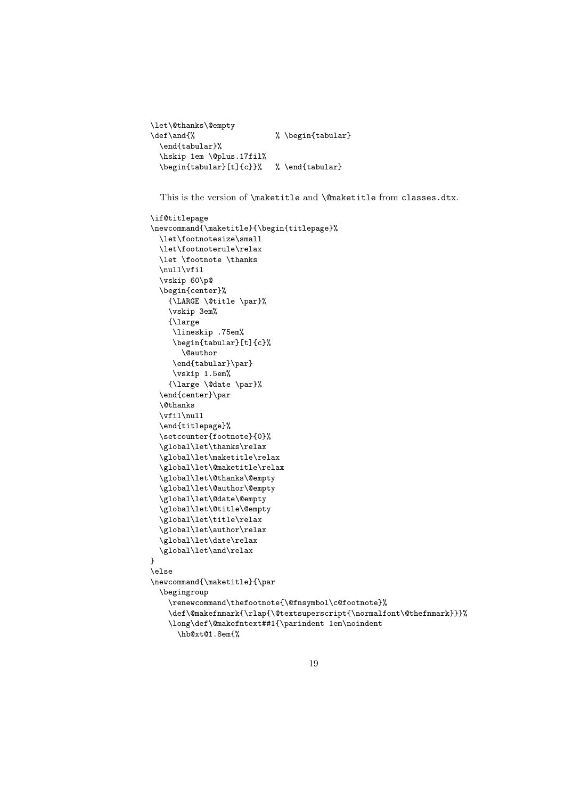```
\let\@thanks\@empty
\def\and{% % \begin{tabular}
 \end{tabular}%
 \hskip 1em \@plus.17fil%
 \begin{tabular}[t]{c}}% % \end{tabular}
```
This is the version of \maketitle and \@maketitle from classes.dtx.

```
\if@titlepage
\newcommand{\maketitle}{\begin{titlepage}%
  \let\footnotesize\small
  \let\footnoterule\relax
  \let \footnote \thanks
  \null\vfil
  \vskip 60\p@
  \begin{center}%
    {\LARGE \@title \par}%
    \vskip 3em%
    {\large
     \lineskip .75em%
     \begin{tabular}[t]{c}%
       \@author
     \label{q:q:rel} $$\end{tabular}\par\vskip 1.5em%
    {\large \@date \par}%
  \end{center}\par
  \@thanks
  \vfil\null
  \end{titlepage}%
  \setcounter{footnote}{0}%
  \global\let\thanks\relax
  \global\let\maketitle\relax
  \global\let\@maketitle\relax
  \global\let\@thanks\@empty
  \global\let\@author\@empty
  \global\let\@date\@empty
  \global\let\@title\@empty
  \global\let\title\relax
  \global\let\author\relax
  \global\let\date\relax
  \global\let\and\relax
}
\else
\newcommand{\mathbf{\mathbf}\text{a}}\begingroup
    \renewcommand\thefootnote{\@fnsymbol\c@footnote}%
    \label{thm:main} $$\def\@makef\nmark{\rlap{\@text{superscript}\normalsize\hspace{1.2mm}\hspace{1.2mm}\hspace{1.2mm}\}$$\long\def\@makefntext##1{\parindent 1em\noindent
      \hb@xt@1.8em{%
```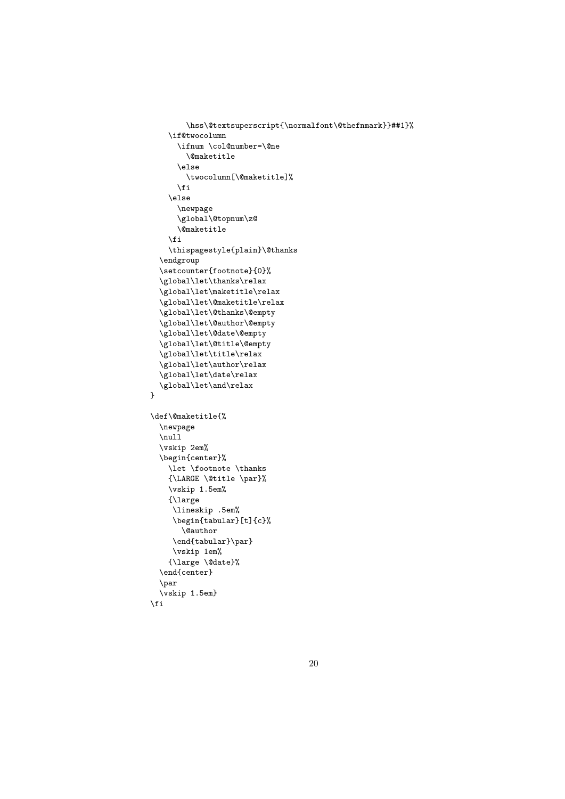```
\hss\@textsuperscript{\normalfont\@thefnmark}}##1}%
    \if@twocolumn
      \ifnum \col@number=\@ne
        \@maketitle
      \else
        \twocolumn[\@maketitle]%
      \fi
    \else
      \newpage
      \global\@topnum\z@
      \@maketitle
    \fi
    \thispagestyle{plain}\@thanks
  \endgroup
  \setcounter{footnote}{0}%
  \global\let\thanks\relax
  \global\let\maketitle\relax
  \global\let\@maketitle\relax
  \global\let\@thanks\@empty
  \global\let\@author\@empty
  \global\let\@date\@empty
  \global\let\@title\@empty
  \global\let\title\relax
  \global\let\author\relax
  \global\let\date\relax
  \global\let\and\relax
}
\def\@maketitle{%
  \newpage
  \null
  \vskip 2em%
 \begin{center}%
    \let \footnote \thanks
    {\LARGE \@title \par}%
    \vskip 1.5em%
    {\large
     \lineskip .5em%
     \begin{tabular}[t]{c}%
      \@author
     \end{tabular}\par}
     \vskip 1em%
    {\large \@date}%
  \end{center}
  \par
  \vskip 1.5em}
\fi
```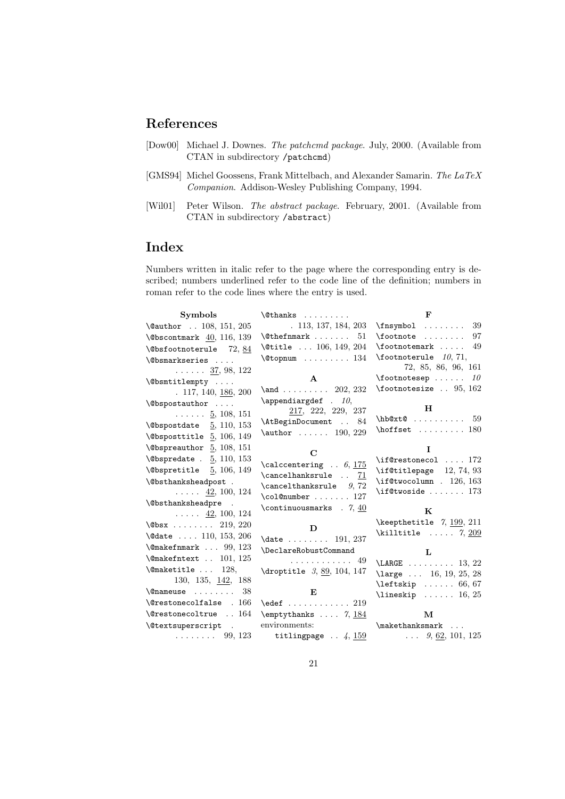# References

- [Dow00] Michael J. Downes. The patchcmd package. July, 2000. (Available from CTAN in subdirectory /patchcmd)
- [GMS94] Michel Goossens, Frank Mittelbach, and Alexander Samarin. The LaTeX Companion. Addison-Wesley Publishing Company, 1994.
- [Wil01] Peter Wilson. The abstract package. February, 2001. (Available from CTAN in subdirectory /abstract)

# Index

Numbers written in italic refer to the page where the corresponding entry is described; numbers underlined refer to the code line of the definition; numbers in roman refer to the code lines where the entry is used.

| Symbols                                                 | $\lambda$ thanks                                                       | $\mathbf{F}$                                                                                |
|---------------------------------------------------------|------------------------------------------------------------------------|---------------------------------------------------------------------------------------------|
| \@author 108, 151, 205                                  | . 113, 137, 184, 203                                                   | $\frac{39}{$                                                                                |
| $\Delta$ kebscontmark 40, 116, 139                      | $\verb+\@thefmmark + \ldots + 51$                                      | -97<br>$\setminus$ footnote                                                                 |
| <b>\@bsfootnoterule</b> 72,84                           | \@title  106, 149, 204                                                 | $\setminus$ footnotemark  49                                                                |
| \@bsmarkseries                                          | $\text{Cotopnum}$ 134                                                  | $\text{footnot} \text{erule}$ 10, 71,                                                       |
| $\ldots \ldots 37, 98, 122$                             |                                                                        | 72, 85, 86, 96, 161                                                                         |
| \@bsmtitlempty                                          | $\mathbf{A}$                                                           | $\setminus$ footnotesep<br>10                                                               |
| $. 117, 140, \underline{186}, 200$                      | \and 202, 232                                                          | $\setminus$ footnotesize  95, 162                                                           |
| \@bspostauthor                                          | $\label{cor:ex1} \texttt{\textbf{appendiculargdef}}~~.~~ \texttt{10},$ |                                                                                             |
| $\ldots \ldots 5, 108, 151$                             | 217, 222, 229, 237                                                     | н                                                                                           |
| $\text{Obspostdate}$ 5, 110, 153                        | \AtBeginDocument  84                                                   | $h$ b $@xt@59$<br>$\hbox{hoffset}$ 180                                                      |
| $\text{Obsposttilte}$ 5, 106, 149                       | $\{\text{author} \dots \dots \ 190, 229\}$                             |                                                                                             |
| $\text{V}$ Obspreauthor $\frac{5}{2}$ , 108, 151        |                                                                        | L                                                                                           |
| $\text{Obspredate}. 5, 110, 153$                        | C                                                                      | $\i{if@restonecol  172}$                                                                    |
| $\text{Obspretitle}$ 5, 106, 149                        | $\lambda$ calccentering $6, 175$                                       | \if@titlepage 12, 74, 93                                                                    |
| \@bsthanksheadpost .                                    | \cancelhanksrule  71                                                   | \if@twocolumn . $126, 163$                                                                  |
| $\ldots$ 42, 100, 124                                   | $\text{cancelthanksrule}$ 9,72<br>$\coloneq$ 127                       | $\iota$ if@twoside  173                                                                     |
| <i><b>\@bsthanksheadpre</b></i><br>$\ddot{\phantom{a}}$ | \continuousmarks $.7, 40$                                              |                                                                                             |
| $\ldots$ 42, 100, 124                                   |                                                                        | K                                                                                           |
| $\text{Obsx}$ 219, 220                                  | D                                                                      | \keepthetitle $7, 199, 211$                                                                 |
| $\text{Qdate  } 110, 153, 206$                          | $\text{date}$ 191, 237                                                 | $\kath$ illtitle $7, 209$                                                                   |
| $\text{Qmakefmmark}$ 99, 123                            | \DeclareRobustCommand                                                  |                                                                                             |
| $\{\n$ Cmakefntext  101, 125                            | . 49                                                                   | L                                                                                           |
| $\{\n$ emaketitle  128,                                 | $\{\text{droptide } 3, 89, 104, 147\}$                                 | $\text{LARGE} \ldots \ldots \ldots 13, 22$                                                  |
| 130, 135, $\frac{142}{188}$                             |                                                                        | \large $\dots$ 16, 19, 25, 28<br>$\left\{\text{left} \right\} \dots \dots \ 66, 67\right\}$ |
| $\{\n$ onameuse  38                                     | E                                                                      | $\{\text{lineskip } \ldots \ldots \ 16, 25\}$                                               |
| $\text{Qrestone}$ colfalse . 166                        | $\text{led}$ 219                                                       |                                                                                             |
| \@restonecoltrue  164                                   | $\emptyset$ 7, 184                                                     | $\mathbf{M}$                                                                                |
| \@textsuperscript .                                     | environments:                                                          | $\mathcal{L}$                                                                               |
| $\ldots \ldots 99, 123$                                 | titlingpage $\ldots$ 4, 159 $\ldots$ 9, 62, 101, 125                   |                                                                                             |
|                                                         |                                                                        |                                                                                             |